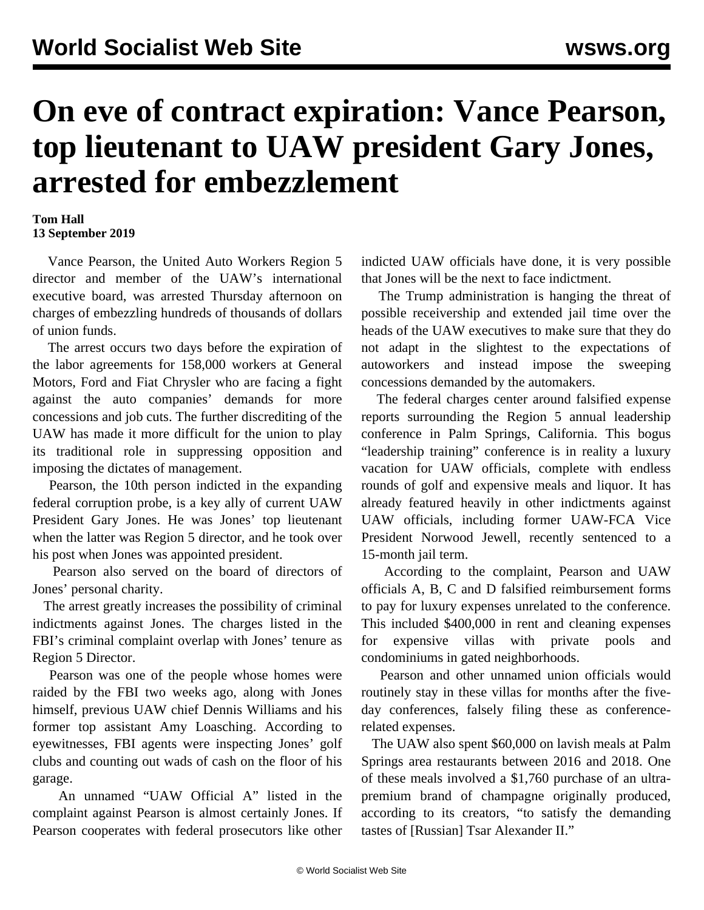## **On eve of contract expiration: Vance Pearson, top lieutenant to UAW president Gary Jones, arrested for embezzlement**

## **Tom Hall 13 September 2019**

 Vance Pearson, the United Auto Workers Region 5 director and member of the UAW's international executive board, was arrested Thursday afternoon on charges of embezzling hundreds of thousands of dollars of union funds.

 The arrest occurs two days before the expiration of the labor agreements for 158,000 workers at General Motors, Ford and Fiat Chrysler who are facing a fight against the auto companies' demands for more concessions and job cuts. The further discrediting of the UAW has made it more difficult for the union to play its traditional role in suppressing opposition and imposing the dictates of management.

 Pearson, the 10th person indicted in the expanding federal corruption probe, is a key ally of current UAW President Gary Jones. He was Jones' top lieutenant when the latter was Region 5 director, and he took over his post when Jones was appointed president.

 Pearson also served on the board of directors of Jones' personal charity.

 The arrest greatly increases the possibility of criminal indictments against Jones. The charges listed in the FBI's criminal complaint overlap with Jones' tenure as Region 5 Director.

 Pearson was one of the people whose homes were raided by the FBI two weeks ago, along with Jones himself, previous UAW chief Dennis Williams and his former top assistant Amy Loasching. According to eyewitnesses, FBI agents were inspecting Jones' golf clubs and counting out wads of cash on the floor of his garage.

 An unnamed "UAW Official A" listed in the complaint against Pearson is almost certainly Jones. If Pearson cooperates with federal prosecutors like other indicted UAW officials have done, it is very possible that Jones will be the next to face indictment.

 The Trump administration is hanging the threat of possible receivership and extended jail time over the heads of the UAW executives to make sure that they do not adapt in the slightest to the expectations of autoworkers and instead impose the sweeping concessions demanded by the automakers.

 The federal charges center around falsified expense reports surrounding the Region 5 annual leadership conference in Palm Springs, California. This bogus "leadership training" conference is in reality a luxury vacation for UAW officials, complete with endless rounds of golf and expensive meals and liquor. It has already featured heavily in other indictments against UAW officials, including former UAW-FCA Vice President Norwood Jewell, recently [sentenced](/en/articles/2019/08/06/jewe-a06.html) to a 15-month jail term.

 According to the complaint, Pearson and UAW officials A, B, C and D falsified reimbursement forms to pay for luxury expenses unrelated to the conference. This included \$400,000 in rent and cleaning expenses for expensive villas with private pools and condominiums in gated neighborhoods.

 Pearson and other unnamed union officials would routinely stay in these villas for months after the fiveday conferences, falsely filing these as conferencerelated expenses.

 The UAW also spent \$60,000 on lavish meals at Palm Springs area restaurants between 2016 and 2018. One of these meals involved a \$1,760 purchase of an ultrapremium brand of champagne originally produced, according to its creators, "to satisfy the demanding tastes of [Russian] Tsar Alexander II."